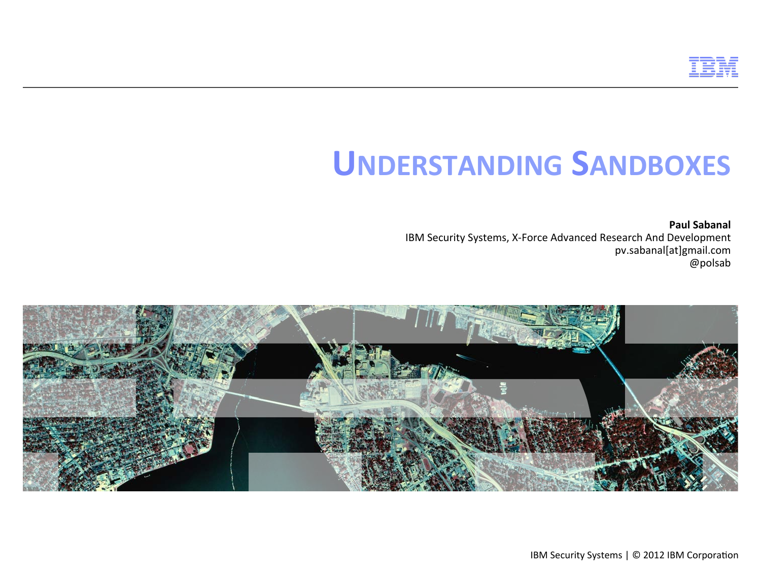

**Paul Sabanal** IBM Security Systems, X-Force Advanced Research And Development pv.sabanal[at]gmail.com @polsab

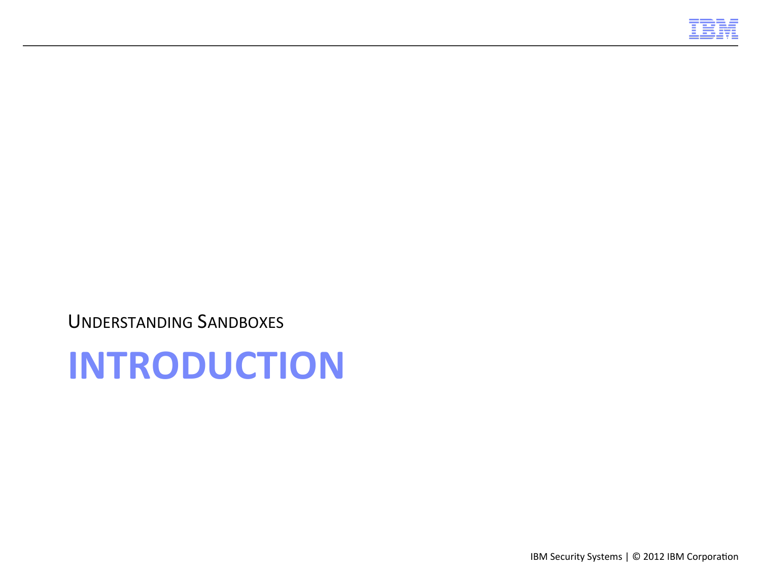

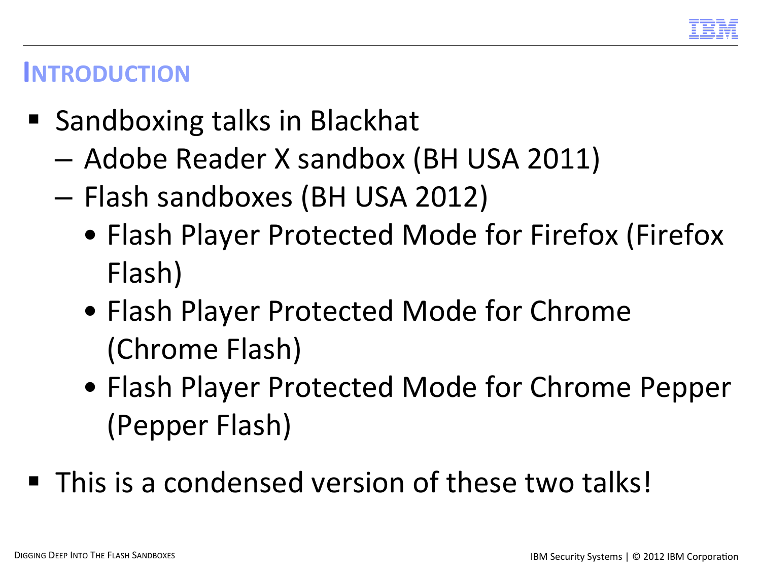

#### **INTRODUCTION**

- Sandboxing talks in Blackhat
	- Adobe Reader X sandbox (BH USA 2011)
	- Flash sandboxes (BH USA 2012)
		- Flash Player Protected Mode for Firefox (Firefox Flash)
		- Flash Player Protected Mode for Chrome (Chrome Flash)
		- Flash Player Protected Mode for Chrome Pepper (Pepper Flash)
- This is a condensed version of these two talks!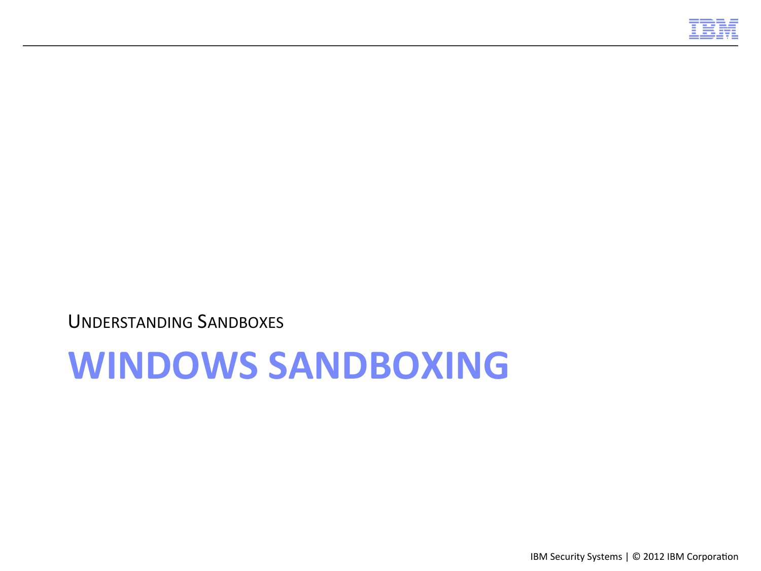

## **WINDOWS SANDBOXING**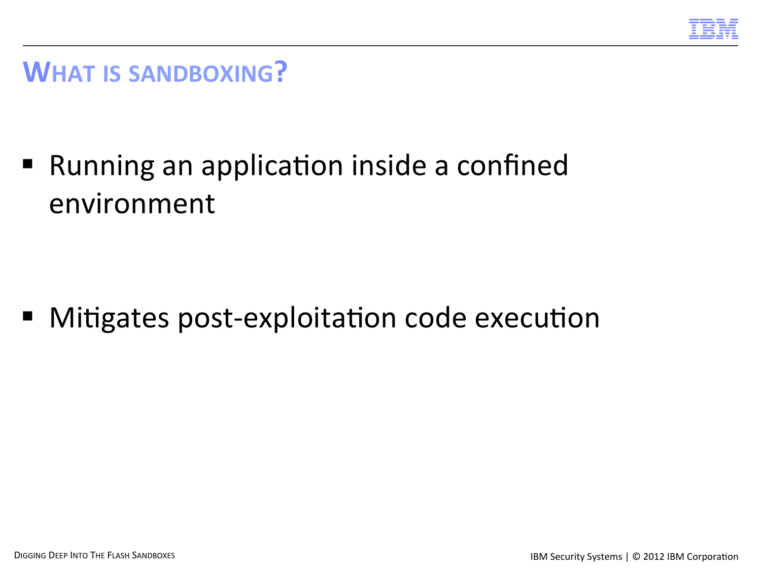

#### **WHAT IS SANDBOXING?**

■ Running an application inside a confined environment 

■ Mitigates post-exploitation code execution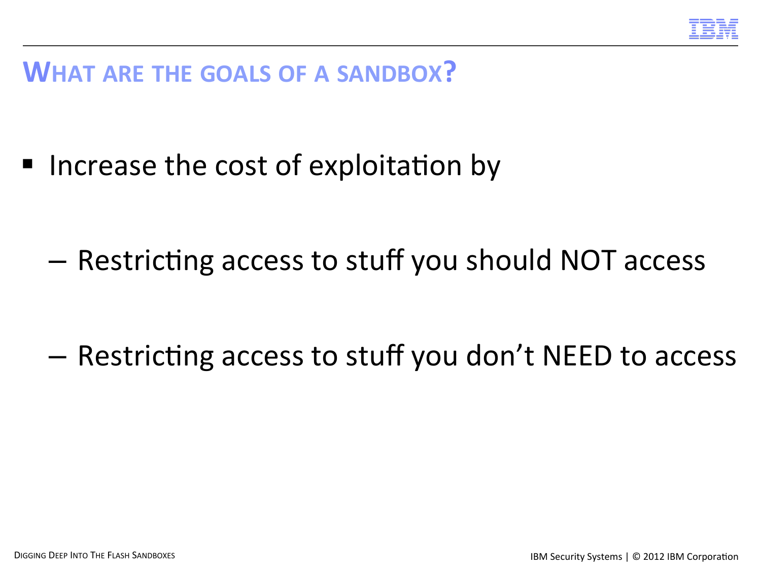

#### **WHAT ARE THE GOALS OF A SANDBOX?**

■ Increase the cost of exploitation by

 $-$  Restricting access to stuff you should NOT access

 $-$  Restricting access to stuff you don't NEED to access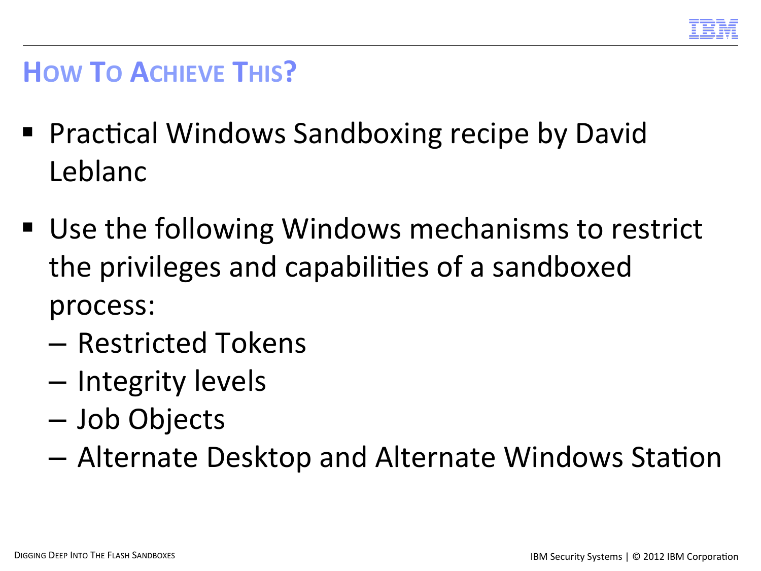

#### **HOW TO ACHIEVE THIS?**

- Practical Windows Sandboxing recipe by David Leblanc
- Use the following Windows mechanisms to restrict the privileges and capabilities of a sandboxed process:
	- Restricted Tokens
	- Integrity levels
	- Job Objects
	- $-$  Alternate Desktop and Alternate Windows Station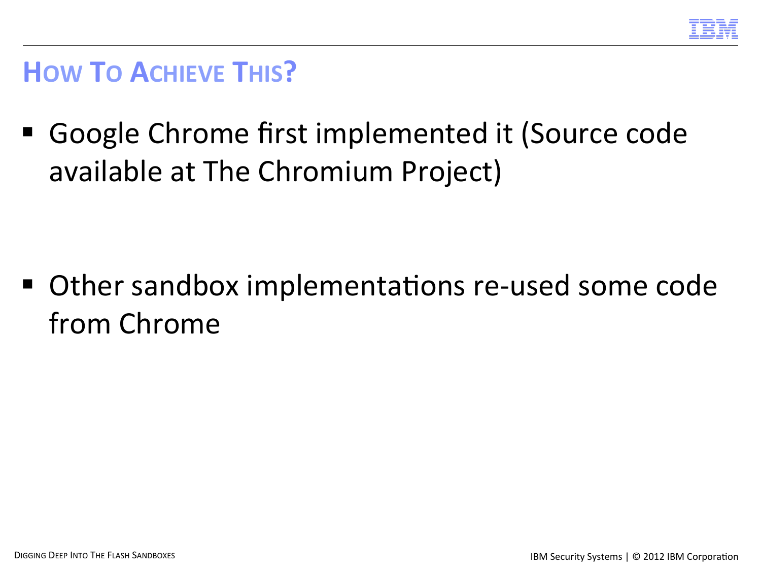

#### **HOW TO ACHIEVE THIS?**

■ Google Chrome first implemented it (Source code available at The Chromium Project)

■ Other sandbox implementations re-used some code from Chrome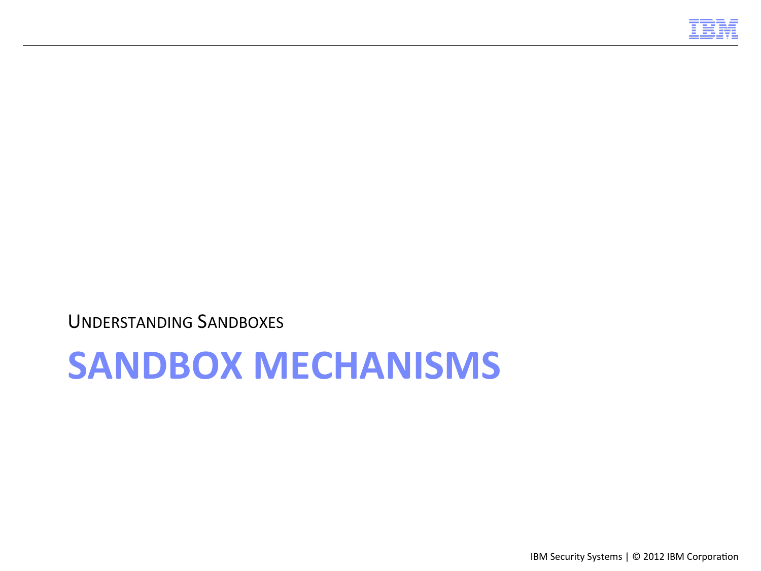

## **SANDBOX MECHANISMS**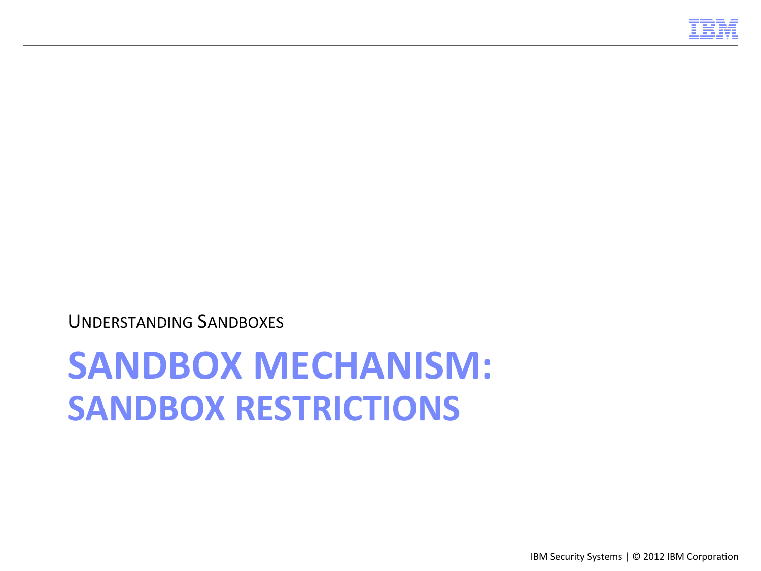

# **SANDBOX MECHANISM: SANDBOX RESTRICTIONS**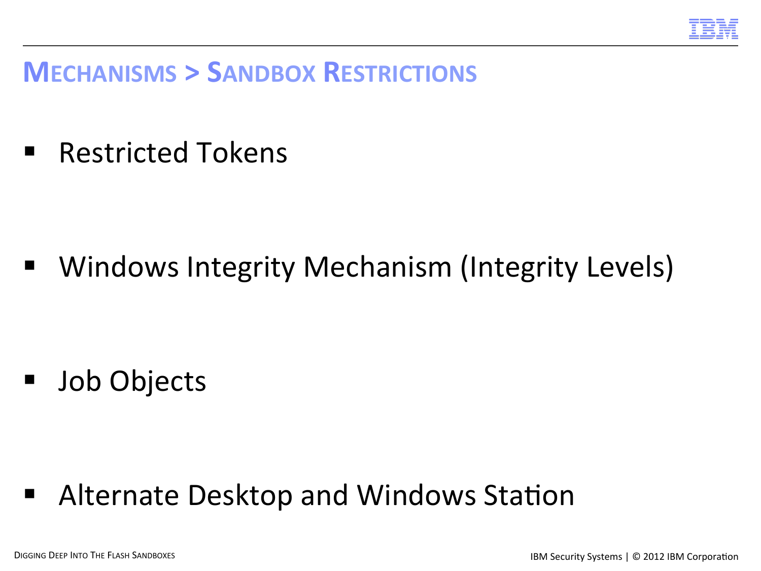

#### **MECHANISMS > SANDBOX RESTRICTIONS**

■ Restricted Tokens

■ Windows Integrity Mechanism (Integrity Levels)

■ Job Objects

■ Alternate Desktop and Windows Station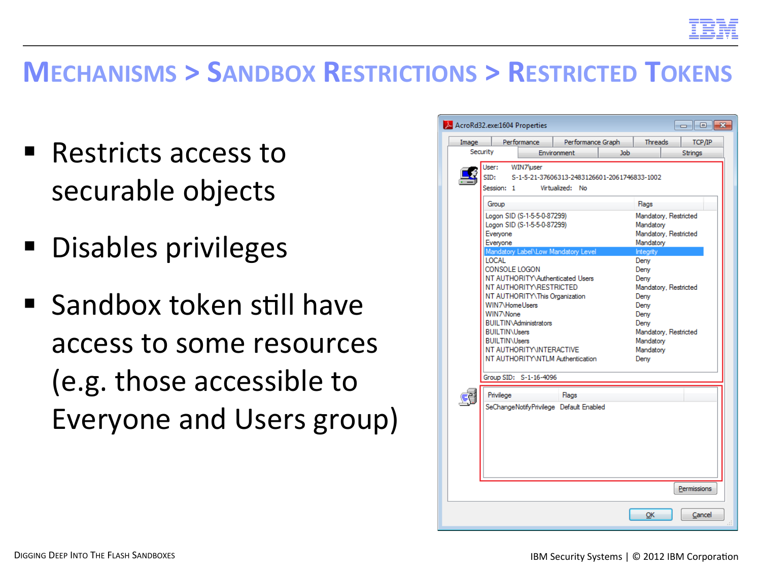

#### **MECHANISMS > SANDBOX RESTRICTIONS > RESTRICTED TOKENS**

- $\blacksquare$  Restricts access to securable objects
- Disables privileges
- $\blacksquare$  Sandbox token still have access to some resources (e.g. those accessible to Everyone and Users group)

| Image    | AcroRd32.exe:1604 Properties                                                                                 | Performance                                                                                                                                      | Performance Graph                                                                                      |            | <b>Threads</b>                                                                         | TCP/IP                                         |
|----------|--------------------------------------------------------------------------------------------------------------|--------------------------------------------------------------------------------------------------------------------------------------------------|--------------------------------------------------------------------------------------------------------|------------|----------------------------------------------------------------------------------------|------------------------------------------------|
| Security |                                                                                                              |                                                                                                                                                  | Environment                                                                                            | <b>Job</b> |                                                                                        | Strings                                        |
|          | User:<br>SID:<br>Session: 1<br>Group<br>Everyone<br>Everyone                                                 | WIN7\user<br>Logon SID (S-1-5-5-0-87299)<br>Logon SID (S-1-5-5-0-87299)                                                                          | S-1-5-21-37606313-2483126601-2061746833-1002<br>Virtualized: No<br>Mandatory Label\Low Mandatory Level |            | Flags<br>Mandatory<br>Mandatory<br>Integrity                                           | Mandatory, Restricted<br>Mandatory, Restricted |
|          | <b>LOCAL</b><br>CONSOLE LOGON<br>WIN7\HomeUsers<br>WIN7\None<br><b>BUILTIN\Users</b><br><b>BUILTIN\Users</b> | NT AUTHORITY\RESTRICTED<br>NT AUTHORITY\This Organization<br><b>BUILTIN\Administrators</b><br>NT AUTHORITY\INTERACTIVE<br>Group SID: S-1-16-4096 | NT AUTHORITY\Authenticated Users<br>NT AUTHORITY\NTLM Authentication                                   |            | Deny<br>Deny<br>Deny<br>Deny<br>Deny<br>Deny<br>Deny<br>Mandatory<br>Mandatory<br>Deny | Mandatory, Restricted<br>Mandatory, Restricted |
|          | Privilege                                                                                                    |                                                                                                                                                  | Flags<br>SeChangeNotifyPrivilege Default Enabled                                                       |            |                                                                                        |                                                |
|          |                                                                                                              |                                                                                                                                                  |                                                                                                        |            |                                                                                        | Permissions                                    |
|          |                                                                                                              |                                                                                                                                                  |                                                                                                        |            | ОК                                                                                     | Cancel                                         |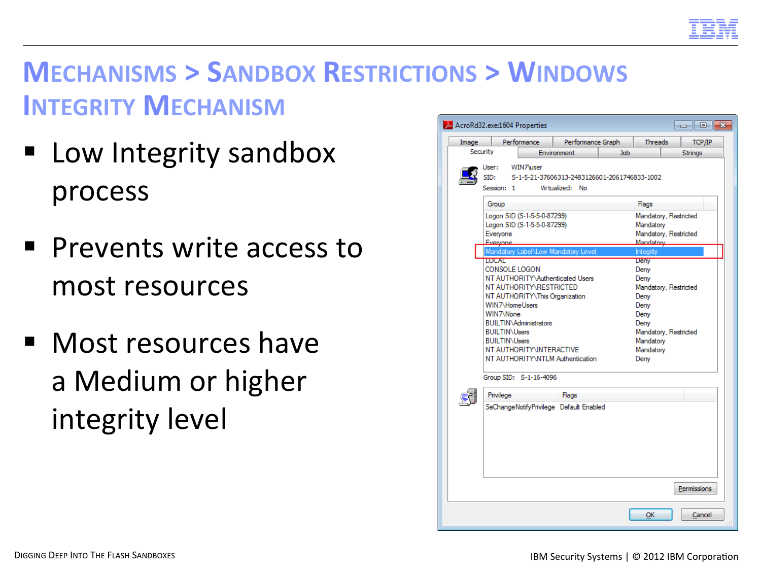

#### **MECHANISMS > SANDBOX RESTRICTIONS > WINDOWS INTEGRITY MECHANISM**

- Low Integrity sandbox process
- Prevents write access to most resources
- Most resources have a Medium or higher integrity level

| Image |                                                                                                              | Performance                                                                                                                                      | Performance Graph                                                    |     | <b>Threads</b>                                                                                | TCP/IP                                         |
|-------|--------------------------------------------------------------------------------------------------------------|--------------------------------------------------------------------------------------------------------------------------------------------------|----------------------------------------------------------------------|-----|-----------------------------------------------------------------------------------------------|------------------------------------------------|
|       | Security                                                                                                     |                                                                                                                                                  | Environment                                                          | Job |                                                                                               | Strings                                        |
|       | User:<br>SID:<br>Session: 1                                                                                  | WIN7\user<br>S-1-5-21-37606313-2483126601-2061746833-1002<br>Virtualized: No                                                                     |                                                                      |     |                                                                                               |                                                |
|       | Group                                                                                                        |                                                                                                                                                  |                                                                      |     | Flags                                                                                         |                                                |
|       | Everyone<br>Everynne                                                                                         | Logon SID (S-1-5-5-0-87299)<br>Logon SID (S-1-5-5-0-87299)                                                                                       |                                                                      |     | Mandatory<br>Mandatory                                                                        | Mandatory, Restricted<br>Mandatory, Restricted |
|       |                                                                                                              |                                                                                                                                                  | Mandatory Label\Low Mandatory Level                                  |     | Integrity                                                                                     |                                                |
|       | <b>LUCAL</b><br>CONSOLE LOGON<br>WIN7\HomeUsers<br>WIN7\None<br><b>BUILTIN\Users</b><br><b>BUILTIN\Users</b> | NT AUTHORITY\RESTRICTED<br>NT AUTHORITY\This Organization<br><b>BUILTIN\Administrators</b><br>NT AUTHORITY INTERACTIVE<br>Group SID: S-1-16-4096 | NT AUTHORITY\Authenticated Users<br>NT AUTHORITY\NTLM Authentication |     | <b>Deny</b><br>Deny<br>Deny<br>Deny<br>Deny<br>Deny<br>Deny<br>Mandatory<br>Mandatory<br>Deny | Mandatory, Restricted<br>Mandatory, Restricted |
|       | Privilege                                                                                                    |                                                                                                                                                  | Flags                                                                |     |                                                                                               |                                                |
|       |                                                                                                              |                                                                                                                                                  | SeChangeNotifyPrivilege Default Enabled                              |     |                                                                                               |                                                |
|       |                                                                                                              |                                                                                                                                                  |                                                                      |     |                                                                                               | Permissions                                    |
|       |                                                                                                              |                                                                                                                                                  |                                                                      |     |                                                                                               |                                                |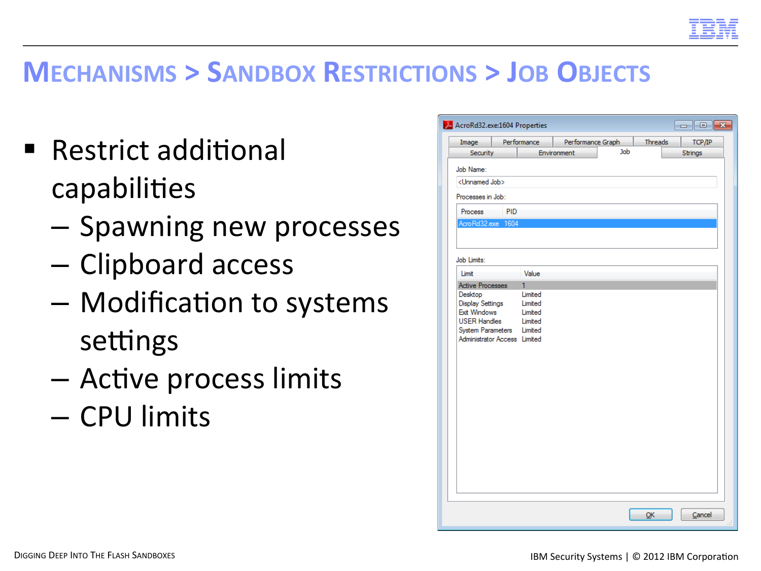

#### **MECHANISMS > SANDBOX RESTRICTIONS > JOB OBJECTS**

- Restrict additional capabilities
	- $-$  Spawning new processes
	- Clipboard access
	- Modification to systems settings
	- Active process limits
	- CPU limits

| Image                        |     | Performance | Performance Graph |     | Threads | TCP/IP  |
|------------------------------|-----|-------------|-------------------|-----|---------|---------|
| Security                     |     |             | Environment       | Job |         | Strings |
| Job Name:                    |     |             |                   |     |         |         |
| <unnamed job=""></unnamed>   |     |             |                   |     |         |         |
| Processes in Job:            |     |             |                   |     |         |         |
|                              |     |             |                   |     |         |         |
| Process                      | PID |             |                   |     |         |         |
| AcroRd32.exe 1604            |     |             |                   |     |         |         |
|                              |     |             |                   |     |         |         |
| Job Limits:                  |     |             |                   |     |         |         |
| Limit                        |     | Value       |                   |     |         |         |
| <b>Active Processes</b>      |     | 1           |                   |     |         |         |
| Desktop                      |     | Limited     |                   |     |         |         |
| <b>Display Settings</b>      |     | Limited     |                   |     |         |         |
| <b>Exit Windows</b>          |     | Limited     |                   |     |         |         |
| <b>USER Handles</b>          |     | Limited     |                   |     |         |         |
| <b>System Parameters</b>     |     | Limited     |                   |     |         |         |
| Administrator Access Limited |     |             |                   |     |         |         |
|                              |     |             |                   |     |         |         |
|                              |     |             |                   |     |         |         |
|                              |     |             |                   |     |         |         |
|                              |     |             |                   |     |         |         |
|                              |     |             |                   |     |         |         |
|                              |     |             |                   |     |         |         |
|                              |     |             |                   |     |         |         |
|                              |     |             |                   |     |         |         |
|                              |     |             |                   |     |         |         |
|                              |     |             |                   |     |         |         |
|                              |     |             |                   |     |         |         |
|                              |     |             |                   |     |         |         |
|                              |     |             |                   |     |         |         |
|                              |     |             |                   |     |         |         |
|                              |     |             |                   |     |         |         |
|                              |     |             |                   |     |         |         |
|                              |     |             |                   |     |         |         |
|                              |     |             |                   |     |         |         |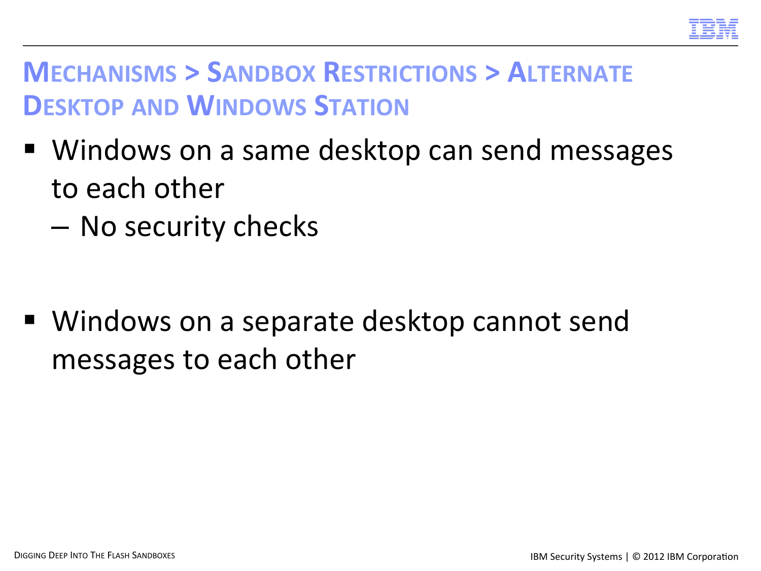

#### **MECHANISMS > SANDBOX RESTRICTIONS > ALTERNATE DESKTOP AND WINDOWS STATION**

- Windows on a same desktop can send messages to each other
	- No security checks

■ Windows on a separate desktop cannot send messages to each other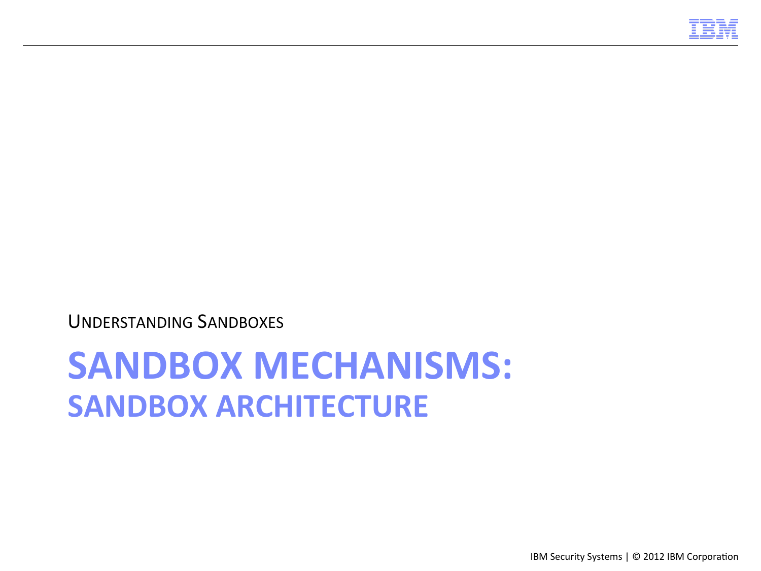

## **SANDBOX MECHANISMS: SANDBOX ARCHITECTURE**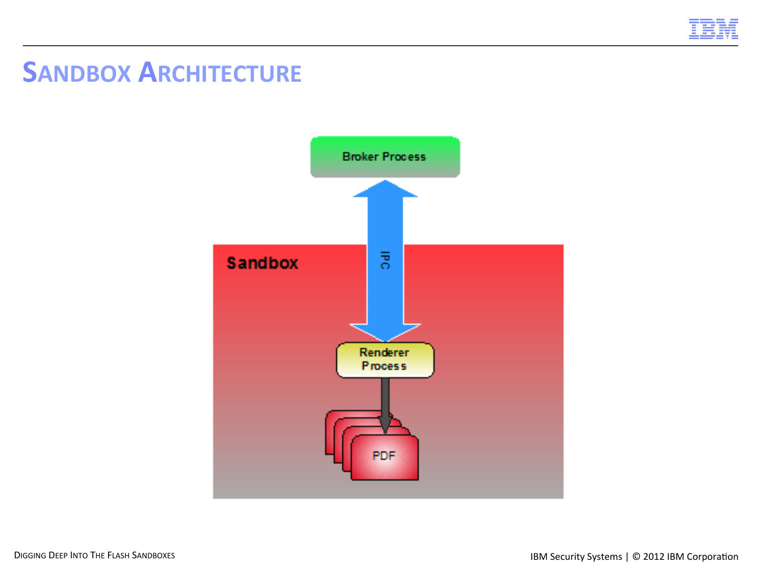

#### **SANDBOX ARCHITECTURE**

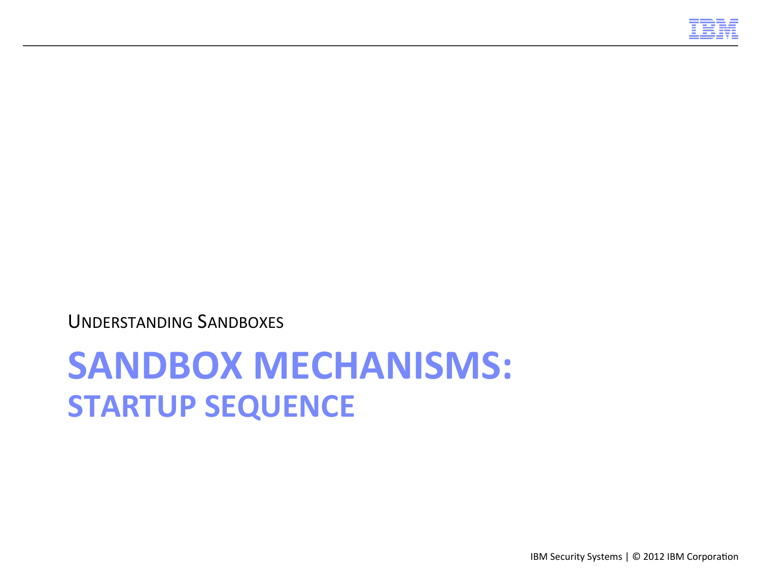

## **SANDBOX MECHANISMS: STARTUP SEQUENCE**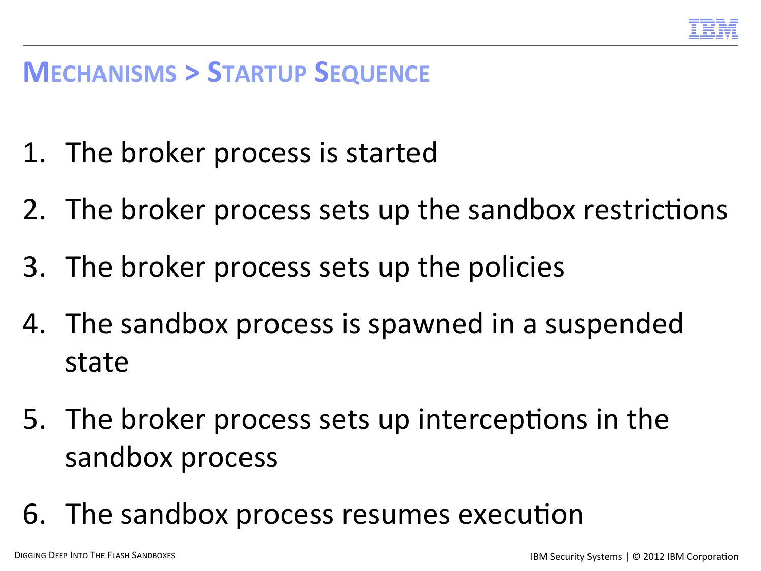

#### **MECHANISMS > STARTUP SEQUENCE**

- 1. The broker process is started
- 2. The broker process sets up the sandbox restrictions
- 3. The broker process sets up the policies
- 4. The sandbox process is spawned in a suspended state
- 5. The broker process sets up interceptions in the sandbox process
- 6. The sandbox process resumes execution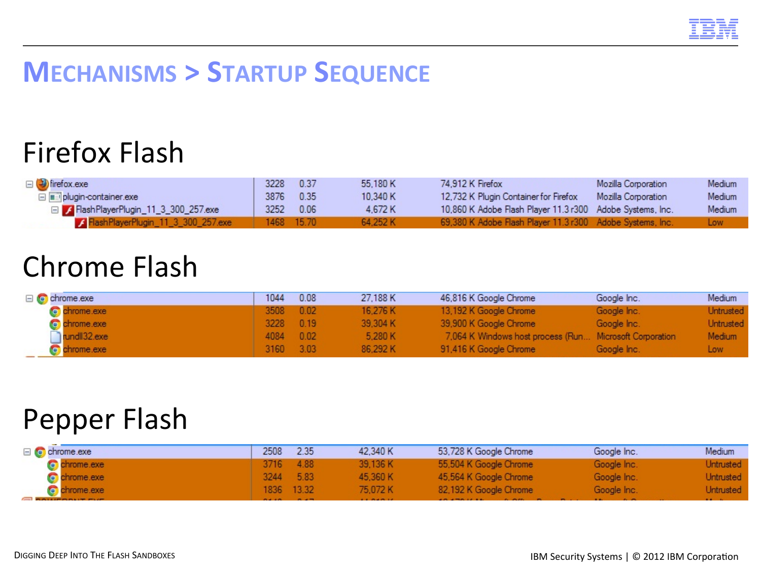#### **MECHANISMS > STARTUP SEQUENCE**

#### Firefox Flash

| □ birefox.exe                          | 3228 0.37  | 55.180 K | 74.912 K Firefox                                          | Mozilla Corporation | Medium |
|----------------------------------------|------------|----------|-----------------------------------------------------------|---------------------|--------|
| plugin-container.exe                   | 3876 0.35  | 10.340 K | 12.732 K Plugin Container for Firefox                     | Mozilla Corporation | Medium |
| □ / FlashPlayerPlugin_11_3_300_257.exe | 3252 0.06  | 4.672 K  | 10,860 K Adobe Flash Player 11.3 r300 Adobe Systems, Inc. |                     | Medium |
| FlashPlayerPlugin_11_3_300_257.exe     | 1468 15.70 | 64.252 K | 69,380 K Adobe Flash Player 11.3 r300 Adobe Systems, Inc. |                     | Low.   |

#### **Chrome Flash**

| $\Box$ C chrome.exe   | 1044      | 0.08 | 27.188 K | 46,816 K Google Chrome                                  | Google Inc. | Medium           |
|-----------------------|-----------|------|----------|---------------------------------------------------------|-------------|------------------|
| chrome.exe            | 3508 0.02 |      | 16.276 K | 13,192 K Google Chrome                                  | Google Inc. | Untrusted        |
| Controlled Controller | 3228 0.19 |      | 39.304 K | 39,900 K Google Chrome                                  | Google Inc. | <b>Untrusted</b> |
| undll32.exe           | 4084 0.02 |      | 5.280 K  | 7.064 K Windows host process (Run Microsoft Corporation |             | Medium           |
| chrome.exe            | 3160 3.03 |      | 86.292 K | 91.416 K Google Chrome                                  | Google Inc. | Low .            |

#### Pepper Flash

| $\Box$ C chrome exe | 2508          | 2.35       | 42.340 K               | 53,728 K Google Chrome          | Google Inc. | Medium     |
|---------------------|---------------|------------|------------------------|---------------------------------|-------------|------------|
| <b>C</b> chrome exe |               | 3716 4.88  | 39.136 K               | 55,504 K Google Chrome          | Google Inc. | Untrusted  |
| <b>C</b> chrome exe |               | 3244 5.83  | 45.360 K               | 45,564 K Google Chrome          | Google Inc. | Untrusted  |
| chrome.exe          |               | 1836 13.32 | 75.072 K               | 82,192 K Google Chrome          | Google Inc. | Untrusted  |
| <b>CONSTRUCTION</b> | <b>DALLER</b> |            | <b><i>ALCOHOL:</i></b> | $-0.01$ $-0.01$ $+0.01$ $+0.01$ |             | $2.2 - 1.$ |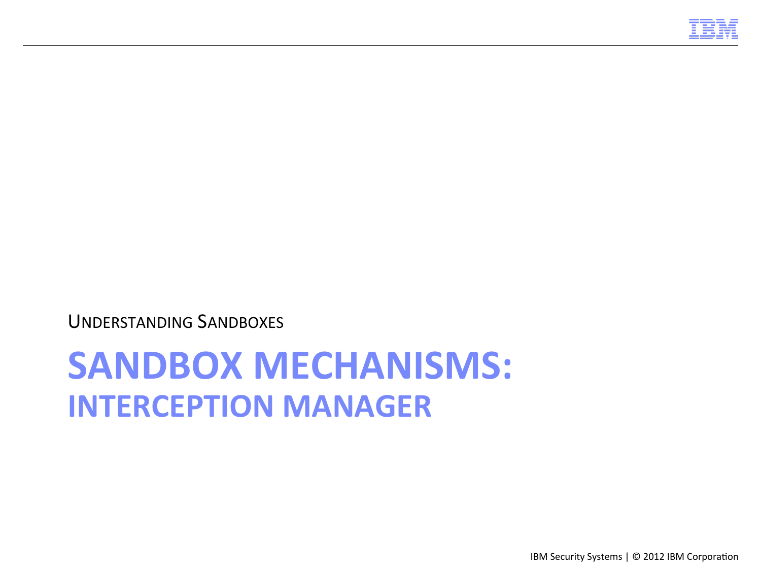

## **SANDBOX MECHANISMS: INTERCEPTION MANAGER**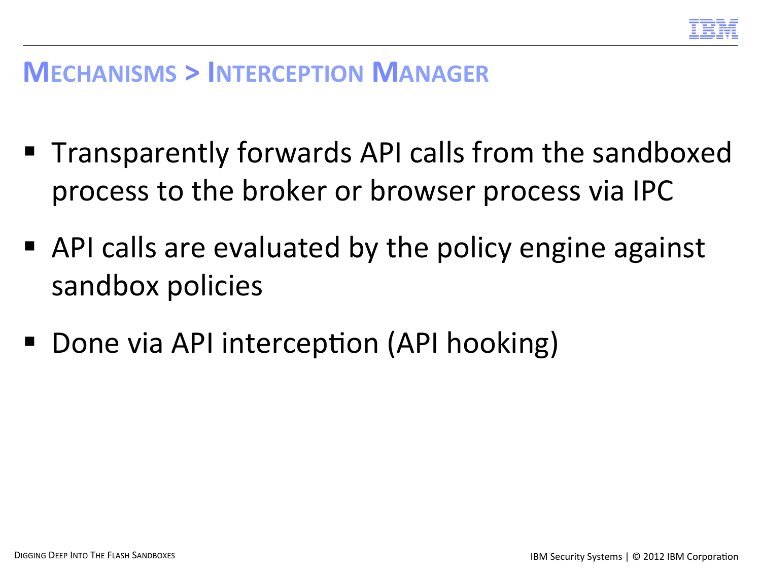

#### **MECHANISMS > INTERCEPTION MANAGER**

- Transparently forwards API calls from the sandboxed process to the broker or browser process via IPC
- API calls are evaluated by the policy engine against sandbox policies
- Done via API interception (API hooking)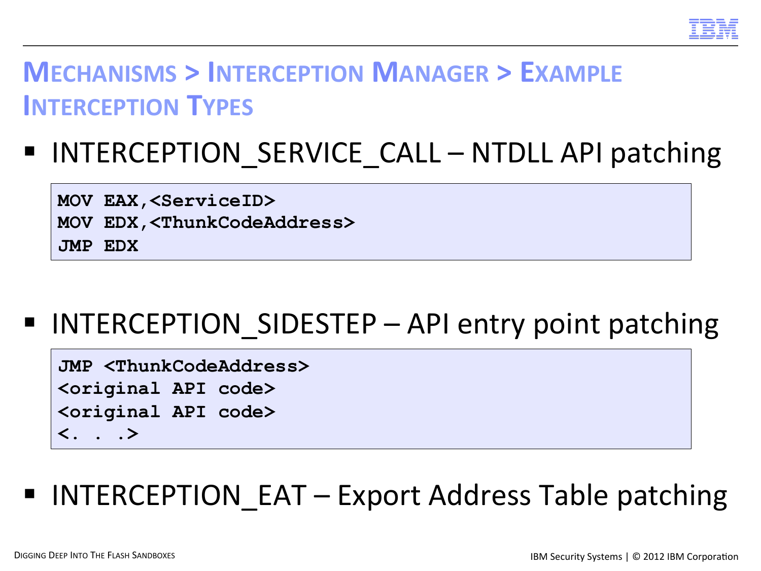

#### **MECHANISMS > INTERCEPTION MANAGER > EXAMPLE INTERCEPTION TYPES**

## ■ INTERCEPTION SERVICE CALL – NTDLL API patching

**MOV EAX,<ServiceID> MOV EDX,<ThunkCodeAddress> JMP EDX** 

### ■ INTERCEPTION SIDESTEP – API entry point patching

**JMP <ThunkCodeAddress> <original API code> <original API code> <. . .>** 

### ■ INTERCEPTION EAT – Export Address Table patching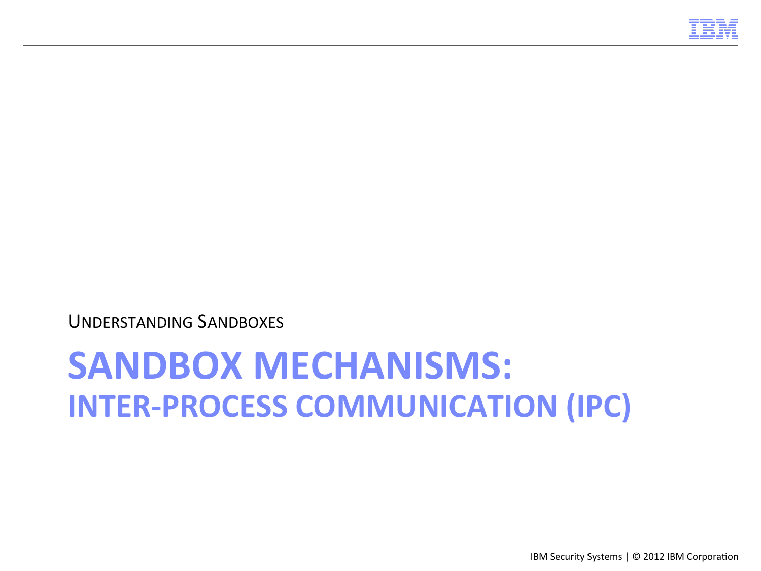

# **SANDBOX MECHANISMS: INTER-PROCESS COMMUNICATION (IPC)**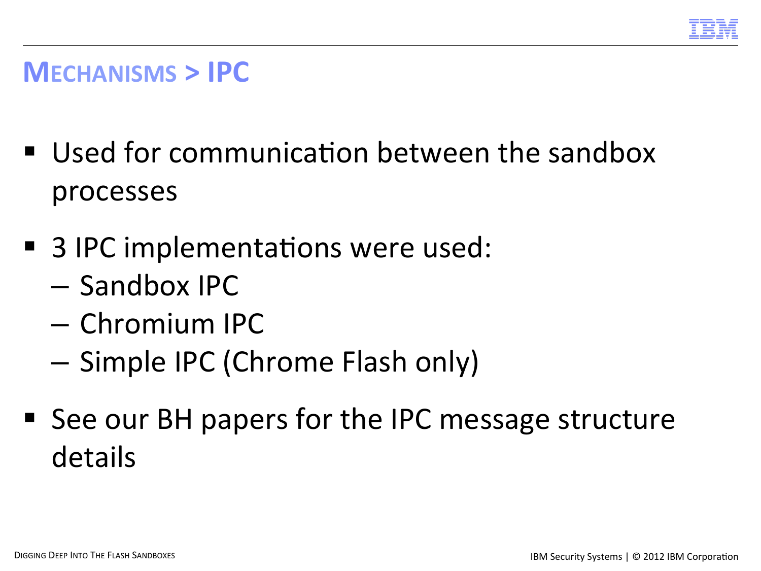

#### **MECHANISMS > IPC**

- Used for communication between the sandbox processes
- 3 IPC implementations were used:
	- Sandbox IPC
	- Chromium IPC
	- Simple IPC (Chrome Flash only)
- See our BH papers for the IPC message structure details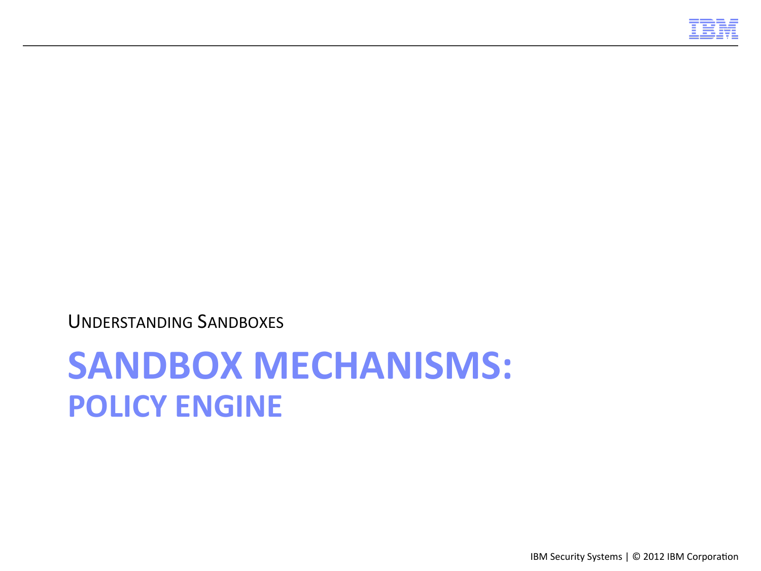

## **SANDBOX MECHANISMS: POLICY ENGINE**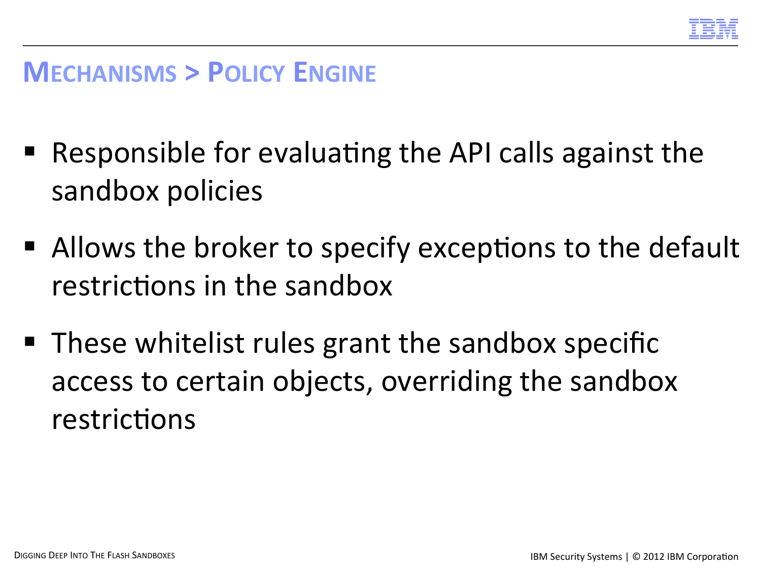

#### **MECHANISMS > POLICY ENGINE**

- $\blacksquare$  Responsible for evaluating the API calls against the sandbox policies
- $\blacksquare$  Allows the broker to specify exceptions to the default restrictions in the sandbox
- $\blacksquare$  These whitelist rules grant the sandbox specific access to certain objects, overriding the sandbox restrictions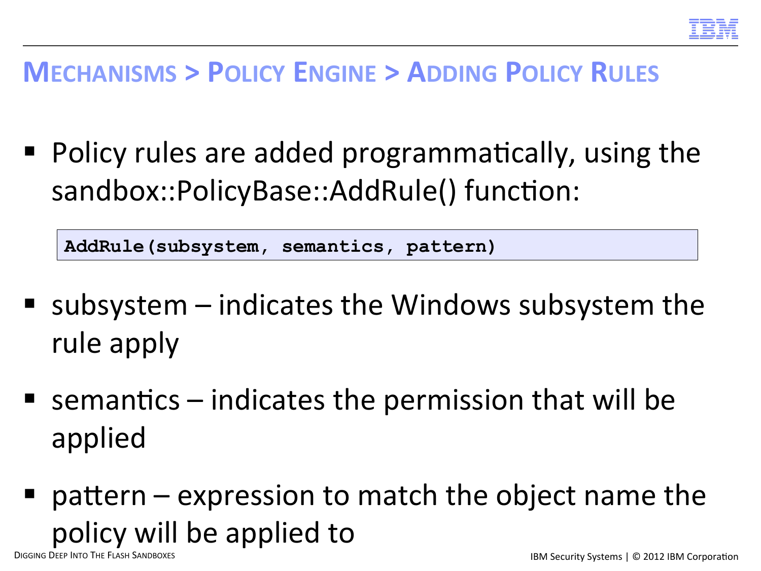

#### **MECHANISMS > POLICY ENGINE > ADDING POLICY RULES**

 $\blacksquare$  Policy rules are added programmatically, using the sandbox::PolicyBase::AddRule() function:

**AddRule(subsystem, semantics, pattern)** 

- subsystem  $-$  indicates the Windows subsystem the rule apply
- **E** semantics  $-$  indicates the permission that will be applied
- **pattern** expression to match the object name the policy will be applied to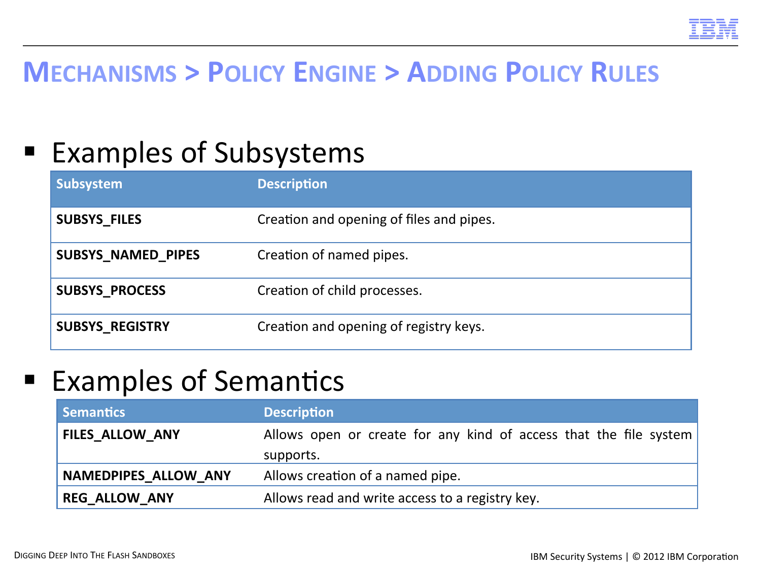

#### **MECHANISMS > POLICY ENGINE > ADDING POLICY RULES**

#### ■ Examples of Subsystems

| Subsystem                 | <b>Description</b>                       |
|---------------------------|------------------------------------------|
| <b>SUBSYS_FILES</b>       | Creation and opening of files and pipes. |
| <b>SUBSYS NAMED PIPES</b> | Creation of named pipes.                 |
| <b>SUBSYS_PROCESS</b>     | Creation of child processes.             |
| <b>SUBSYS_REGISTRY</b>    | Creation and opening of registry keys.   |

#### ■ Examples of Semantics

| Semantics                   | <b>Description</b>                                                |  |  |  |
|-----------------------------|-------------------------------------------------------------------|--|--|--|
| <b>FILES ALLOW ANY</b>      | Allows open or create for any kind of access that the file system |  |  |  |
|                             | supports.                                                         |  |  |  |
| <b>NAMEDPIPES ALLOW ANY</b> | Allows creation of a named pipe.                                  |  |  |  |
| <b>REG ALLOW ANY</b>        | Allows read and write access to a registry key.                   |  |  |  |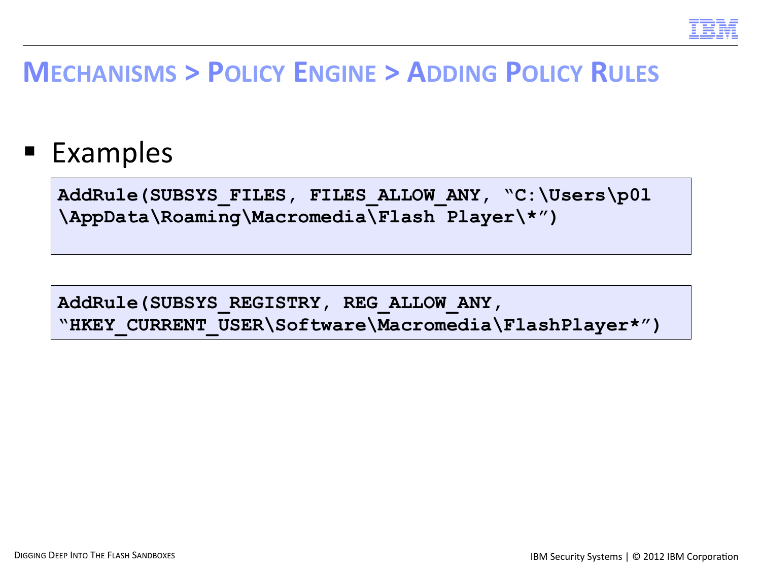

#### **MECHANISMS > POLICY ENGINE > ADDING POLICY RULES**

■ Examples

**AddRule(SUBSYS\_FILES, FILES\_ALLOW\_ANY, "C:\Users\p0l \AppData\Roaming\Macromedia\Flash Player\\*")** 

**AddRule(SUBSYS\_REGISTRY, REG\_ALLOW\_ANY, "HKEY\_CURRENT\_USER\Software\Macromedia\FlashPlayer\*")**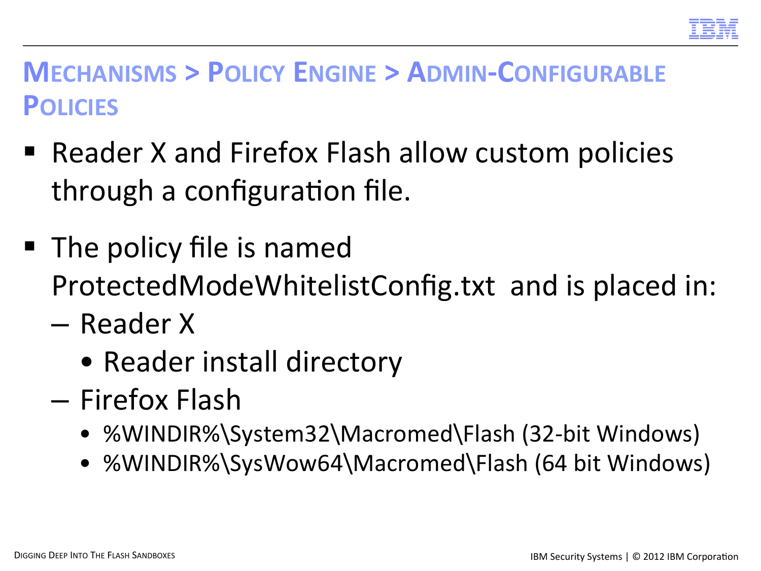

#### **MECHANISMS > POLICY ENGINE > ADMIN-CONFIGURABLE POLICIES**

- Reader X and Firefox Flash allow custom policies through a configuration file.
- The policy file is named ProtectedModeWhitelistConfig.txt and is placed in:
	- Reader X
		- Reader install directory
	- Firefox Flash
		- %WINDIR%\System32\Macromed\Flash (32-bit Windows)
		- %WINDIR%\SysWow64\Macromed\Flash (64 bit Windows)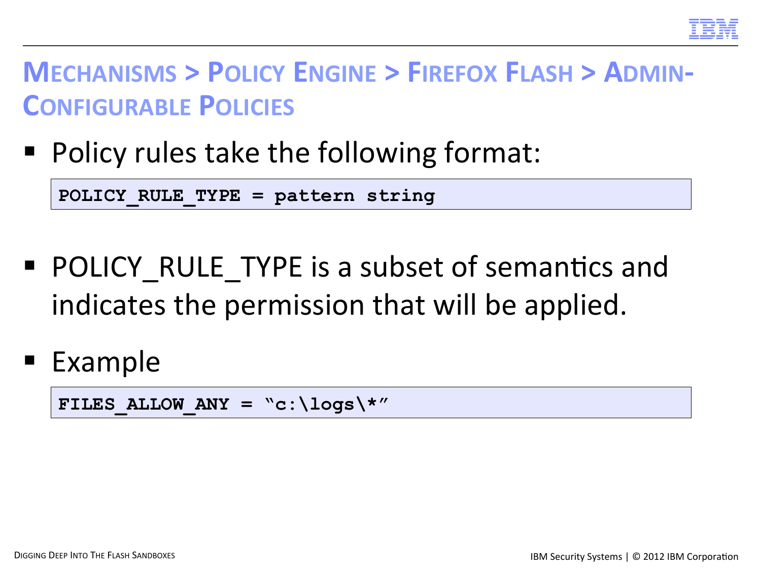

#### **MECHANISMS > POLICY ENGINE > FIREFOX FLASH > ADMIN-CONFIGURABLE POLICIES**

Policy rules take the following format:

**POLICY\_RULE\_TYPE = pattern string** 

- POLICY RULE TYPE is a subset of semantics and indicates the permission that will be applied.
- Example

FILES ALLOW ANY =  $C: \log s \$ \*"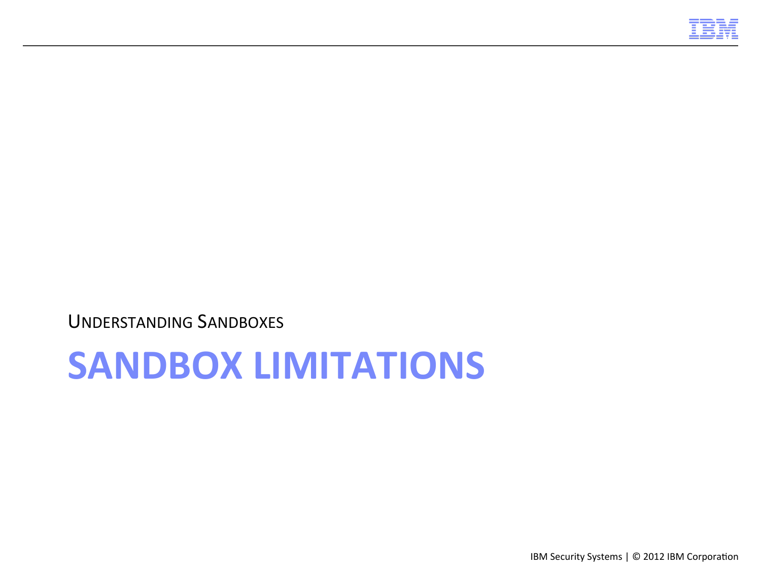

## **SANDBOX LIMITATIONS**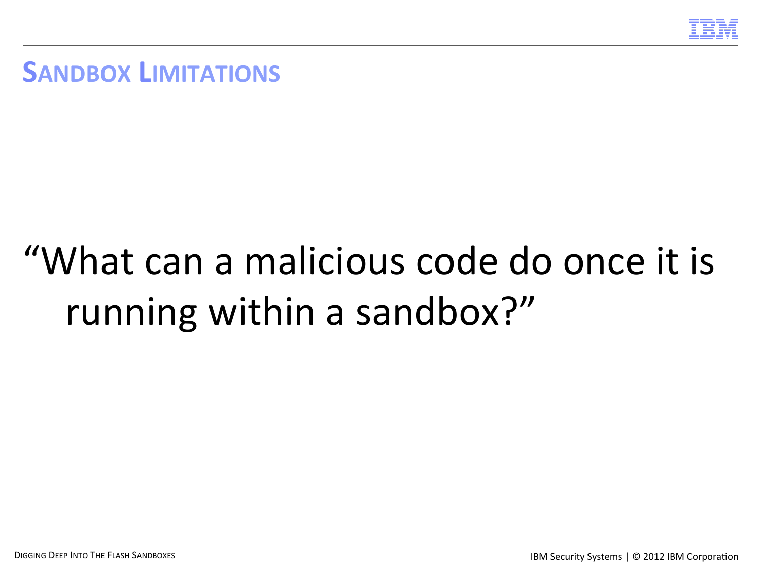

**SANDBOX LIMITATIONS** 

# "What can a malicious code do once it is running within a sandbox?"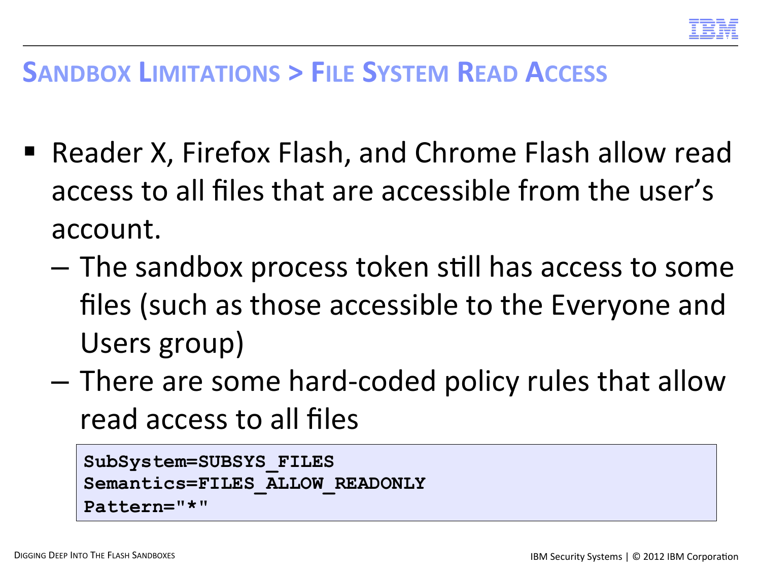

#### **SANDBOX LIMITATIONS > FILE SYSTEM READ ACCESS**

- Reader X, Firefox Flash, and Chrome Flash allow read access to all files that are accessible from the user's account.
	- $-$  The sandbox process token still has access to some files (such as those accessible to the Everyone and Users group)
	- $-$  There are some hard-coded policy rules that allow read access to all files

```
SubSystem=SUBSYS_FILES 
Semantics=FILES_ALLOW_READONLY 
Pattern="*"
```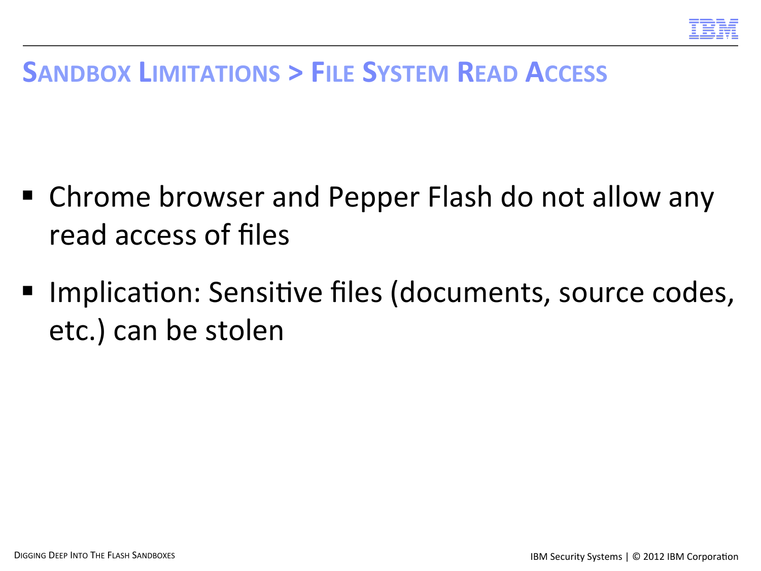

#### **SANDBOX LIMITATIONS > FILE SYSTEM READ ACCESS**

- Chrome browser and Pepper Flash do not allow any read access of files
- Implication: Sensitive files (documents, source codes, etc.) can be stolen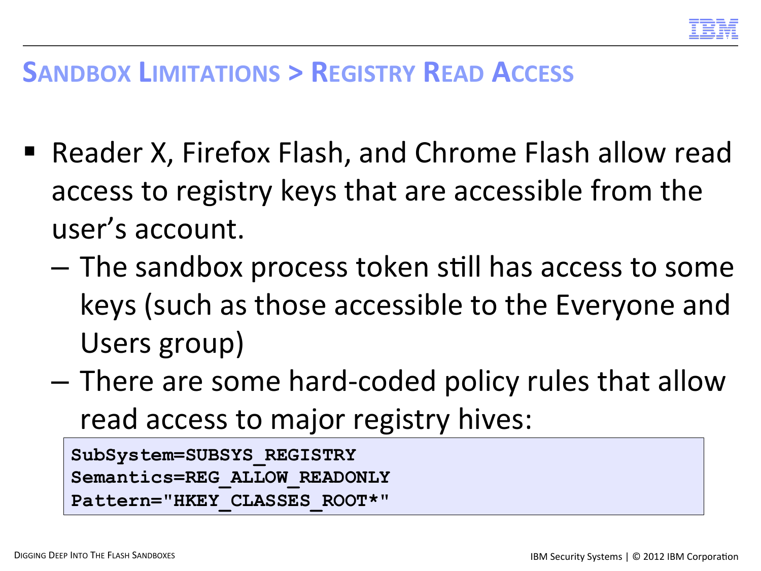

#### **SANDBOX LIMITATIONS > REGISTRY READ ACCESS**

- Reader X, Firefox Flash, and Chrome Flash allow read access to registry keys that are accessible from the user's account.
	- $-$  The sandbox process token still has access to some keys (such as those accessible to the Everyone and Users group)
	- $-$  There are some hard-coded policy rules that allow read access to major registry hives:

```
SubSystem=SUBSYS_REGISTRY 
Semantics=REG_ALLOW_READONLY 
Pattern="HKEY_CLASSES_ROOT*"
```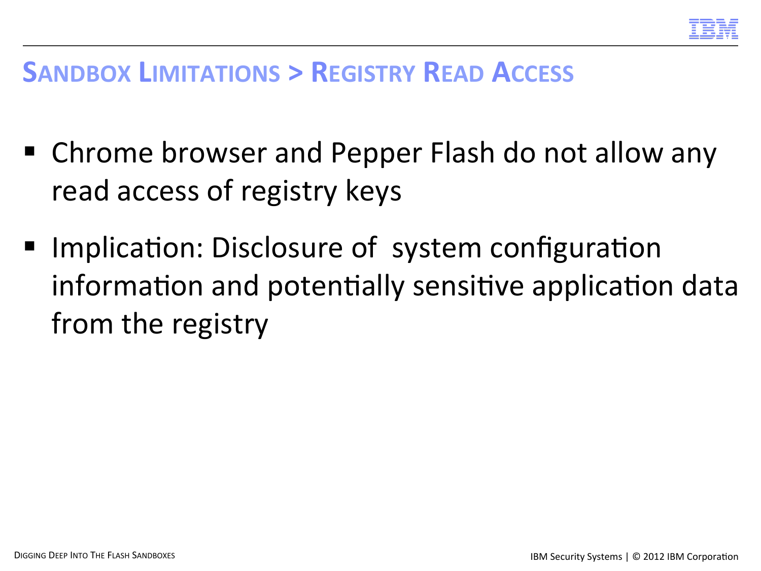

#### **SANDBOX LIMITATIONS > REGISTRY READ ACCESS**

- Chrome browser and Pepper Flash do not allow any read access of registry keys
- Implication: Disclosure of system configuration information and potentially sensitive application data from the registry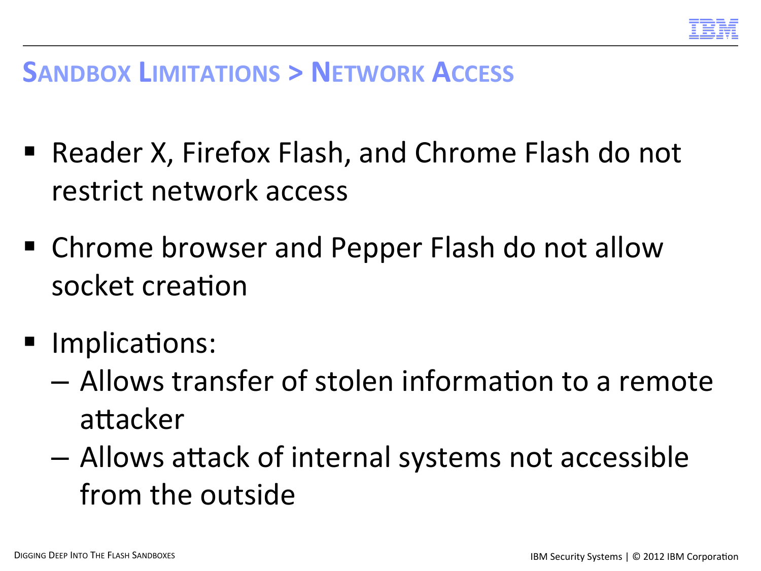

#### **SANDBOX LIMITATIONS > NETWORK ACCESS**

- Reader X, Firefox Flash, and Chrome Flash do not restrict network access
- Chrome browser and Pepper Flash do not allow socket creation
- Implications:
	- $-$  Allows transfer of stolen information to a remote attacker
	- $-$  Allows attack of internal systems not accessible from the outside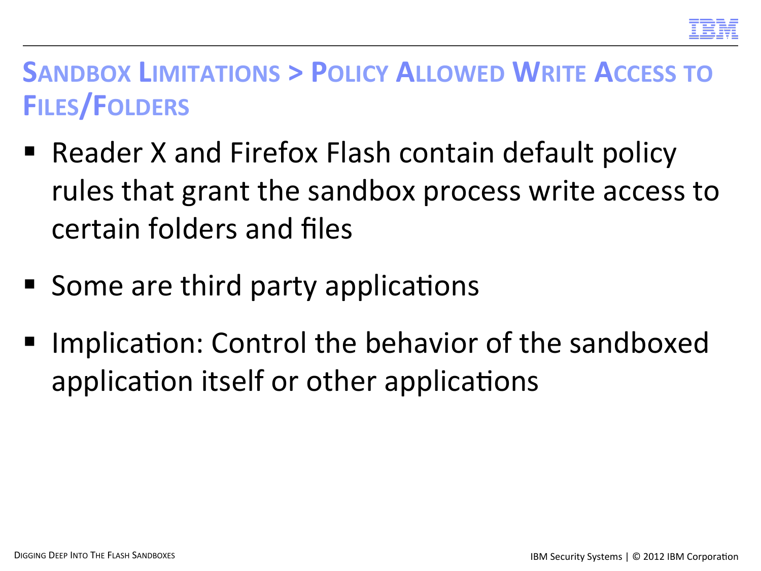

#### **SANDBOX LIMITATIONS > POLICY ALLOWED WRITE ACCESS TO FILES/FOLDERS**

- Reader X and Firefox Flash contain default policy rules that grant the sandbox process write access to certain folders and files
- Some are third party applications
- Implication: Control the behavior of the sandboxed application itself or other applications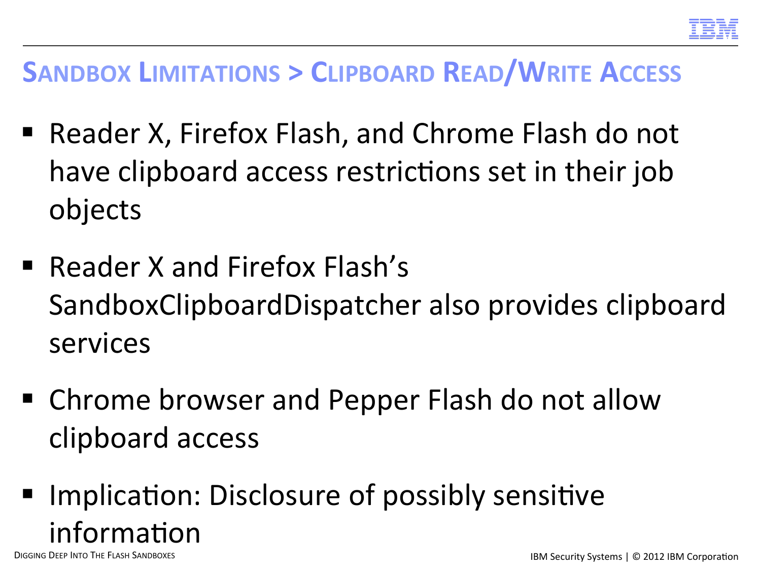

#### **SANDBOX LIMITATIONS > CLIPBOARD READ/WRITE ACCESS**

- Reader X, Firefox Flash, and Chrome Flash do not have clipboard access restrictions set in their job objects
- Reader X and Firefox Flash's SandboxClipboardDispatcher also provides clipboard services
- Chrome browser and Pepper Flash do not allow clipboard access
- Implication: Disclosure of possibly sensitive information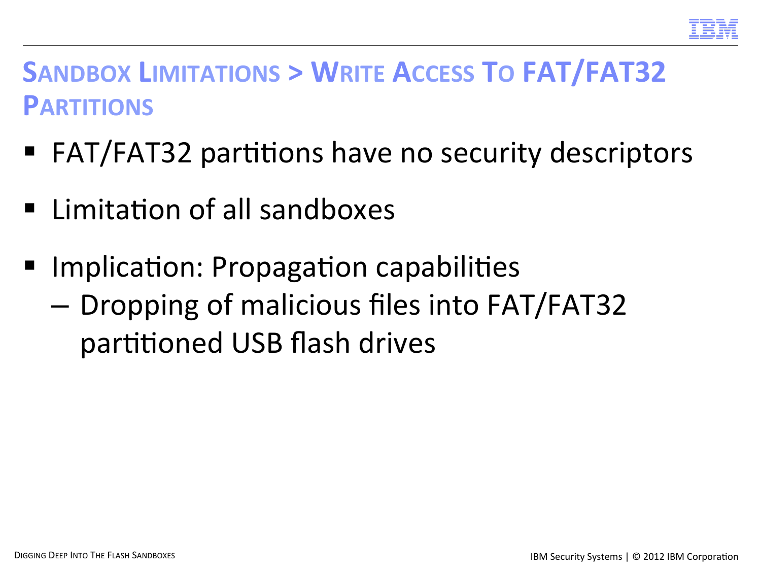

#### **SANDBOX LIMITATIONS > WRITE ACCESS TO FAT/FAT32 PARTITIONS**

- FAT/FAT32 partitions have no security descriptors
- Limitation of all sandboxes
- Implication: Propagation capabilities
	- Dropping of malicious files into FAT/FAT32 partitioned USB flash drives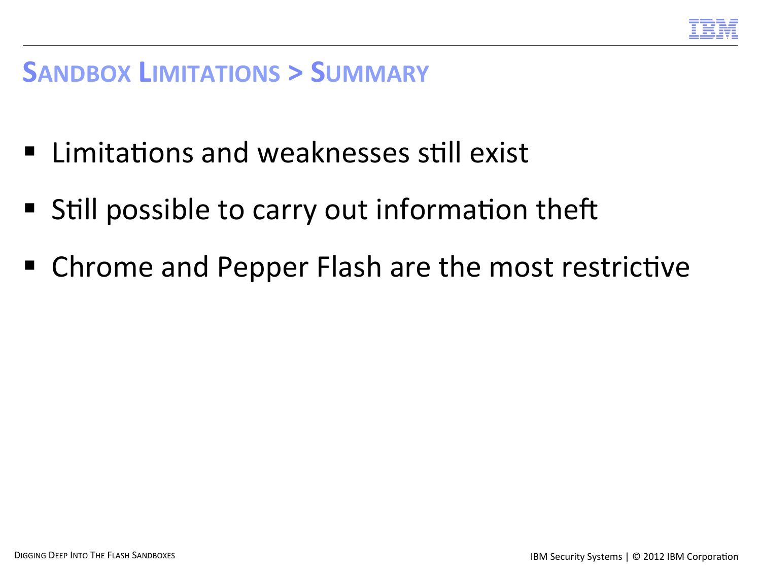

#### **SANDBOX LIMITATIONS > SUMMARY**

- Limitations and weaknesses still exist
- Still possible to carry out information theft
- Chrome and Pepper Flash are the most restrictive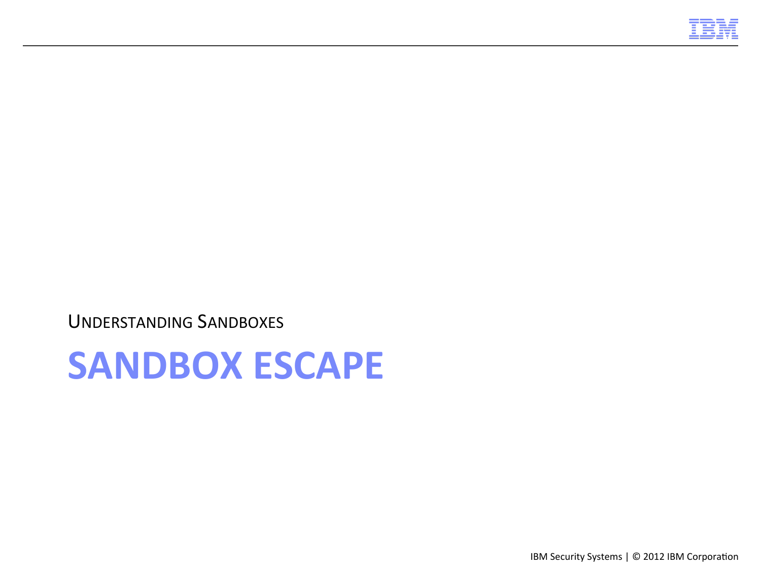

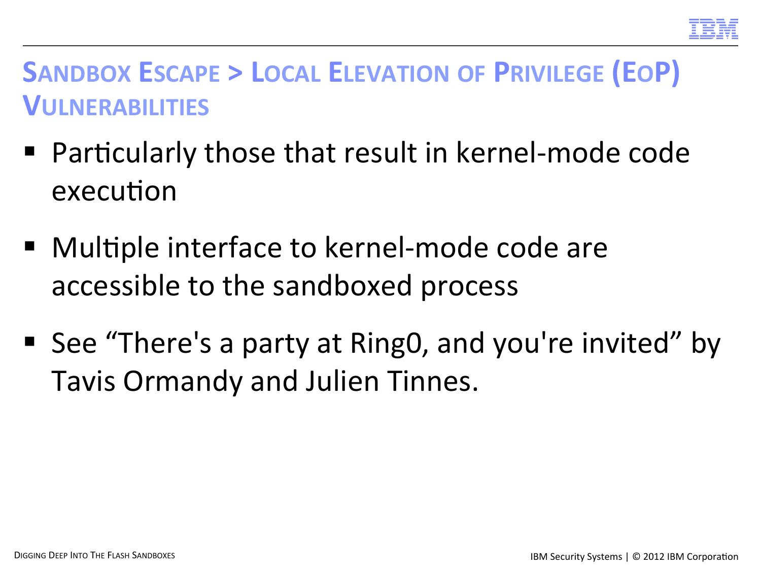

#### **SANDBOX ESCAPE > LOCAL ELEVATION OF PRIVILEGE (EOP) VULNERABILITIES**

- Particularly those that result in kernel-mode code execution
- Multiple interface to kernel-mode code are accessible to the sandboxed process
- See "There's a party at Ring0, and you're invited" by Tavis Ormandy and Julien Tinnes.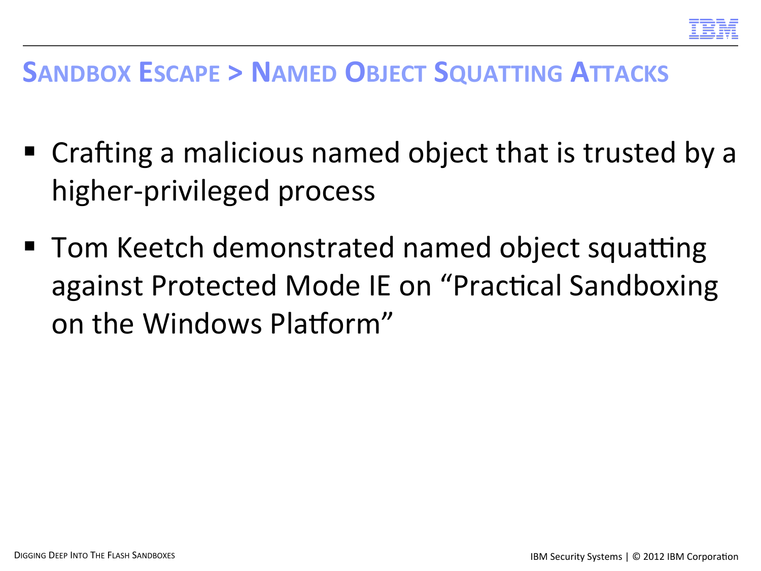

#### **SANDBOX ESCAPE > NAMED OBJECT SQUATTING ATTACKS**

- $\blacksquare$  Crafting a malicious named object that is trusted by a higher-privileged process
- $\blacksquare$  Tom Keetch demonstrated named object squatting against Protected Mode IE on "Practical Sandboxing on the Windows Platform"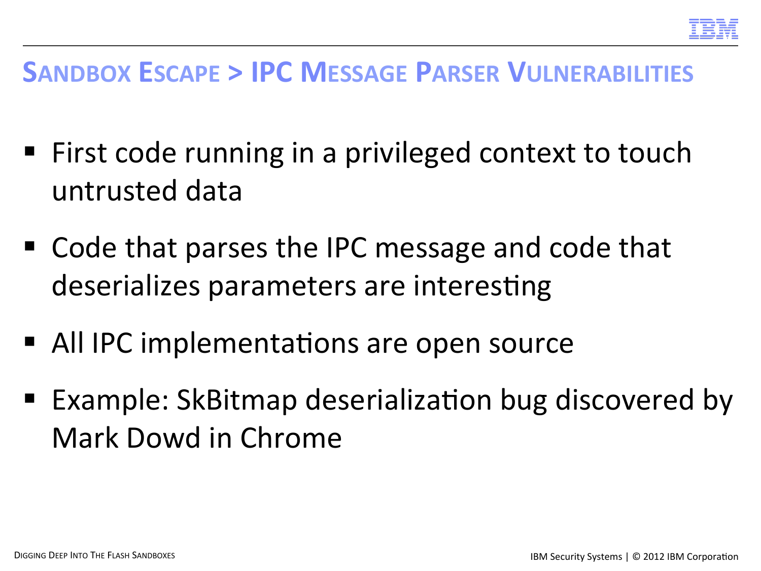

#### **SANDBOX ESCAPE > IPC MESSAGE PARSER VULNERABILITIES**

- First code running in a privileged context to touch untrusted data
- $\blacksquare$  Code that parses the IPC message and code that deserializes parameters are interesting
- All IPC implementations are open source
- Example: SkBitmap deserialization bug discovered by Mark Dowd in Chrome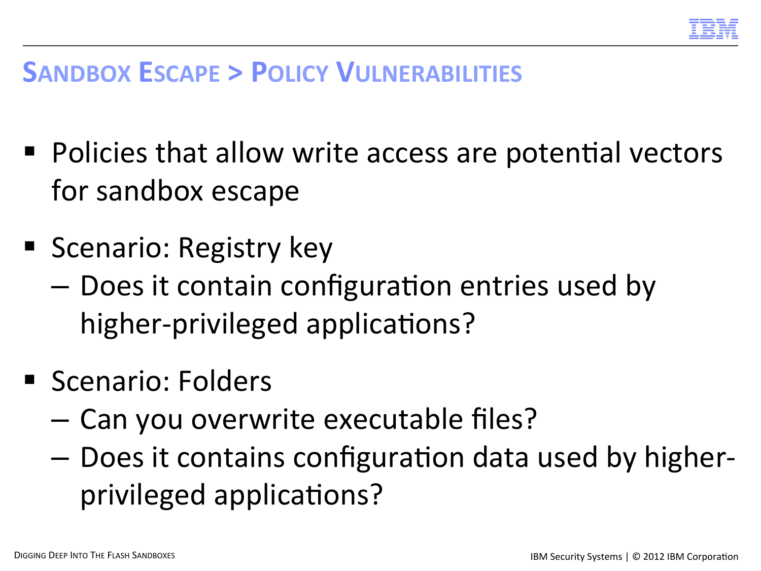

#### **SANDBOX ESCAPE > POLICY VULNERABILITIES**

- Policies that allow write access are potential vectors for sandbox escape
- **Scenario: Registry key** 
	- $-$  Does it contain configuration entries used by higher-privileged applications?
- Scenario: Folders
	- Can you overwrite executable files?
	- $-$  Does it contains configuration data used by higherprivileged applications?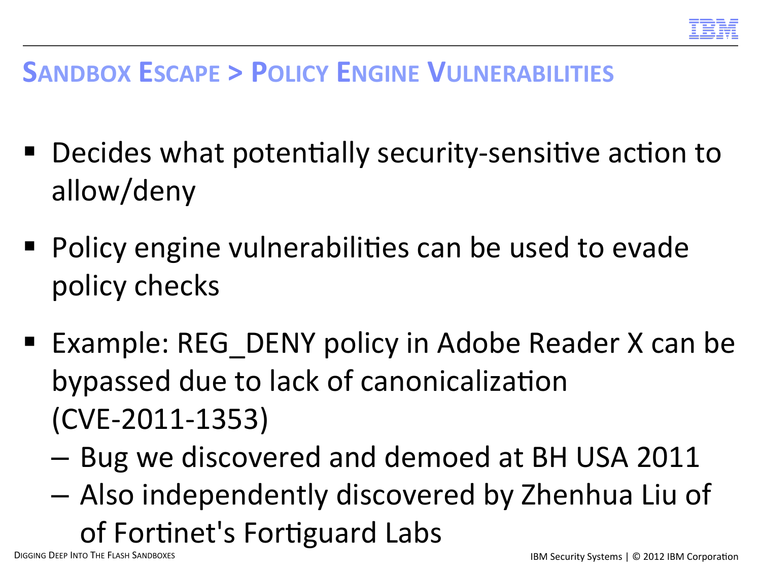

#### **SANDBOX ESCAPE > POLICY ENGINE VULNERABILITIES**

- Decides what potentially security-sensitive action to allow/deny
- Policy engine vulnerabilities can be used to evade policy checks
- Example: REG DENY policy in Adobe Reader X can be bypassed due to lack of canonicalization (CVE-2011-1353)
	- Bug we discovered and demoed at BH USA 2011
	- $-$  Also independently discovered by Zhenhua Liu of of Fortinet's Fortiguard Labs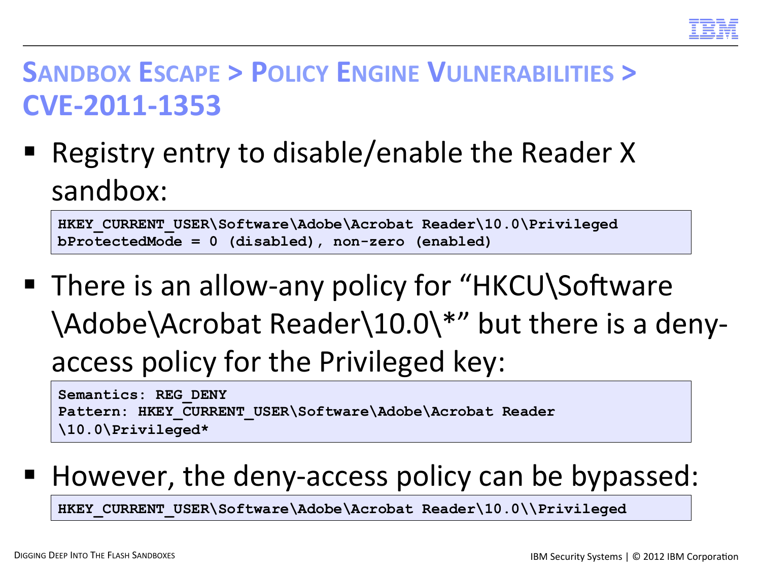

#### **SANDBOX ESCAPE > POLICY ENGINE VULNERABILITIES > CVE-2011-1353**

Registry entry to disable/enable the Reader X sandbox: 

```
HKEY CURRENT USER\Software\Adobe\Acrobat Reader\10.0\Privileged
bProtectedMode = 0 (disabled), non-zero (enabled)
```
■ There is an allow-any policy for "HKCU\Software \Adobe\Acrobat Reader\10.0\\*" but there is a denyaccess policy for the Privileged key:

**Semantics: REG\_DENY Pattern: HKEY\_CURRENT\_USER\Software\Adobe\Acrobat Reader \10.0\Privileged\*** 

However, the deny-access policy can be bypassed:

HKEY CURRENT USER\Software\Adobe\Acrobat Reader\10.0\\Privileged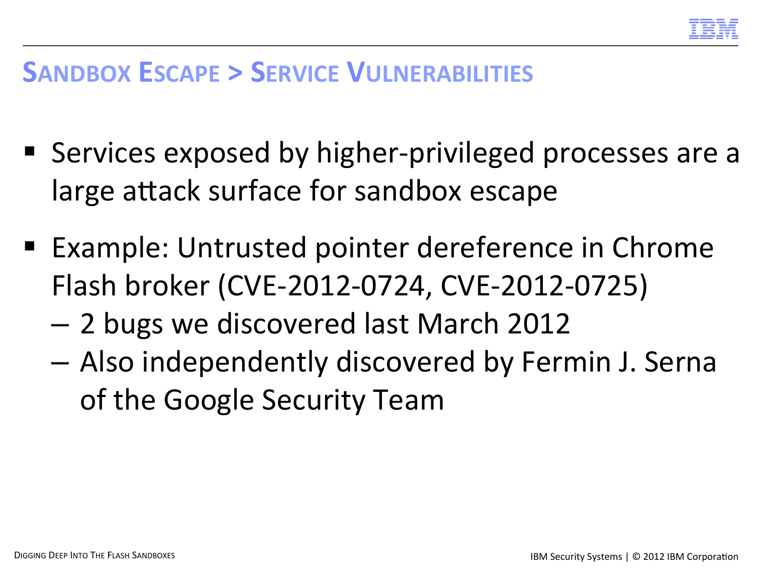

#### **SANDBOX ESCAPE > SERVICE VULNERABILITIES**

- Services exposed by higher-privileged processes are a large attack surface for sandbox escape
- Example: Untrusted pointer dereference in Chrome Flash broker (CVE-2012-0724, CVE-2012-0725)
	- 2 bugs we discovered last March 2012
	- $-$  Also independently discovered by Fermin J. Serna of the Google Security Team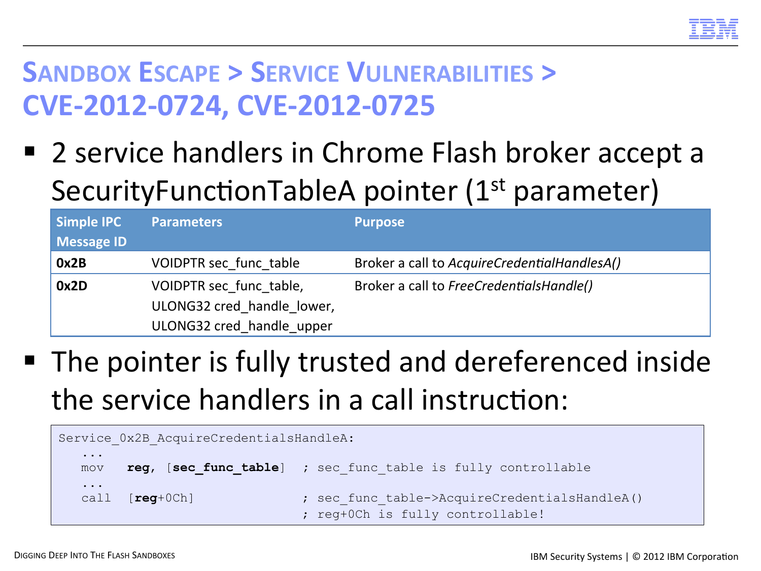

#### **SANDBOX ESCAPE > SERVICE VULNERABILITIES > CVE-2012-0724, CVE-2012-0725**

■ 2 service handlers in Chrome Flash broker accept a SecurityFunctionTableA pointer (1<sup>st</sup> parameter)

| <b>Simple IPC</b><br><b>Message ID</b> | <b>Parameters</b>                                                                  | <b>Purpose</b>                               |
|----------------------------------------|------------------------------------------------------------------------------------|----------------------------------------------|
| 0x2B                                   | VOIDPTR sec func table                                                             | Broker a call to AcquireCredentialHandlesA() |
| 0x2D                                   | VOIDPTR sec func table,<br>ULONG32 cred handle lower,<br>ULONG32 cred handle upper | Broker a call to FreeCredentialsHandle()     |

■ The pointer is fully trusted and dereferenced inside the service handlers in a call instruction:

|                 | Service 0x2B AcquireCredentialsHandleA: |                                                                                   |  |  |  |  |
|-----------------|-----------------------------------------|-----------------------------------------------------------------------------------|--|--|--|--|
| $\cdots$<br>mov |                                         | reg, [sec func table] ; sec func table is fully controllable                      |  |  |  |  |
| $\cdots$        | call $[\text{req}+0Ch]$                 | ; sec func table->AcquireCredentialsHandleA()<br>; reg+0Ch is fully controllable! |  |  |  |  |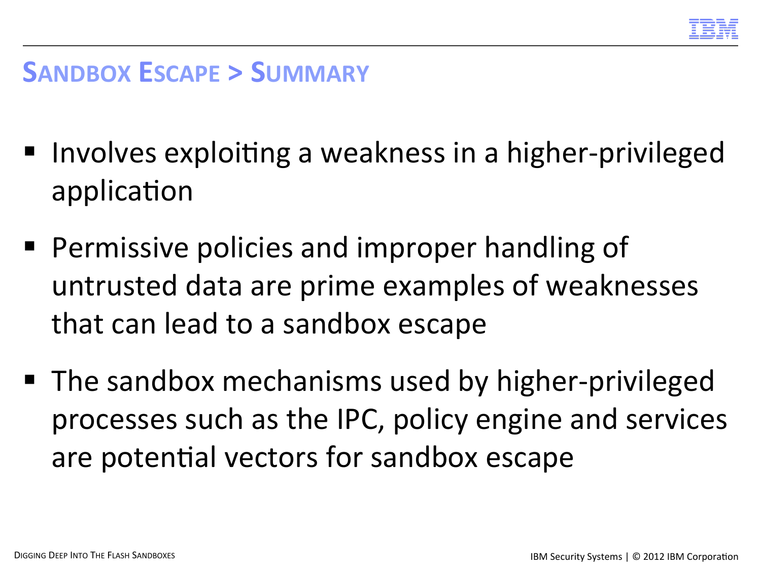

#### **SANDBOX ESCAPE > SUMMARY**

- Involves exploiting a weakness in a higher-privileged application
- Permissive policies and improper handling of untrusted data are prime examples of weaknesses that can lead to a sandbox escape
- The sandbox mechanisms used by higher-privileged processes such as the IPC, policy engine and services are potential vectors for sandbox escape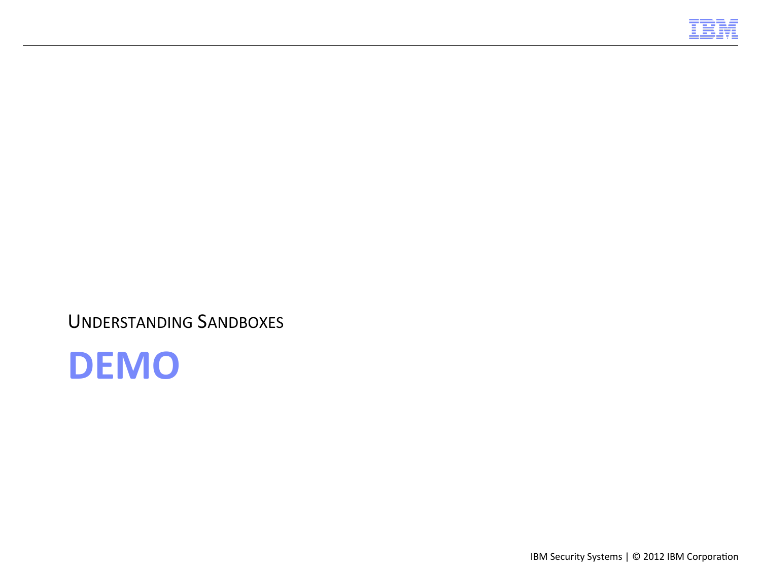

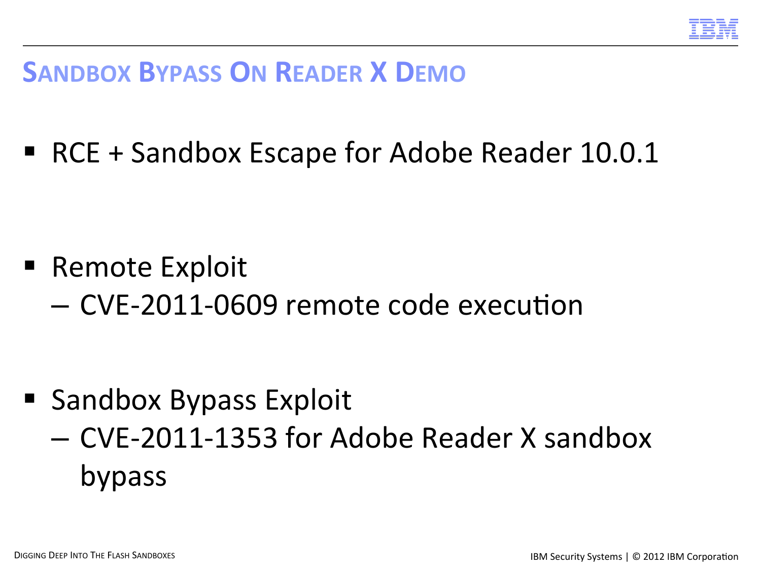

#### **SANDBOX BYPASS ON READER X DEMO**

■ RCE + Sandbox Escape for Adobe Reader 10.0.1

- Remote Exploit
	- CVE-2011-0609 remote code execution

- Sandbox Bypass Exploit
	- CVE-2011-1353 for Adobe Reader X sandbox bypass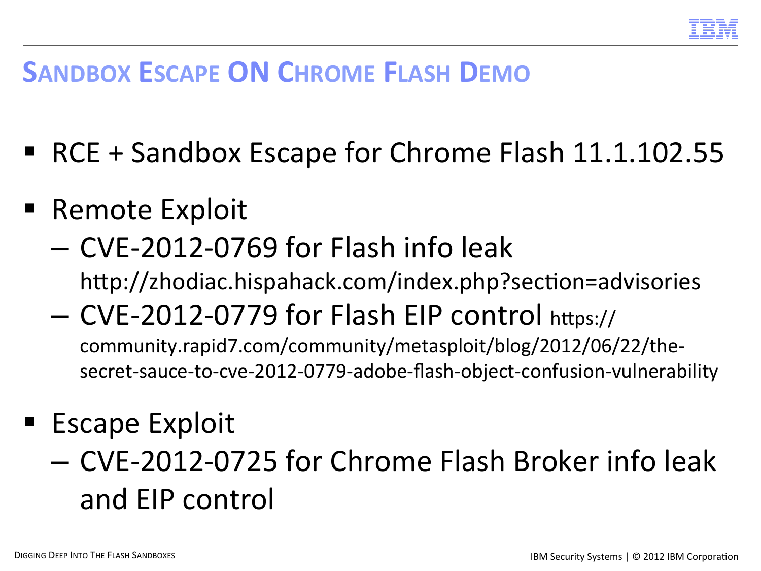

#### **SANDBOX ESCAPE ON CHROME FLASH DEMO**

- RCE + Sandbox Escape for Chrome Flash 11.1.102.55
- Remote Exploit
	- $-$  CVE-2012-0769 for Flash info leak http://zhodiac.hispahack.com/index.php?section=advisories
	- CVE-2012-0779 for Flash EIP control https:// community.rapid7.com/community/metasploit/blog/2012/06/22/thesecret-sauce-to-cve-2012-0779-adobe-flash-object-confusion-vulnerability
- Escape Exploit
	- CVE-2012-0725 for Chrome Flash Broker info leak and EIP control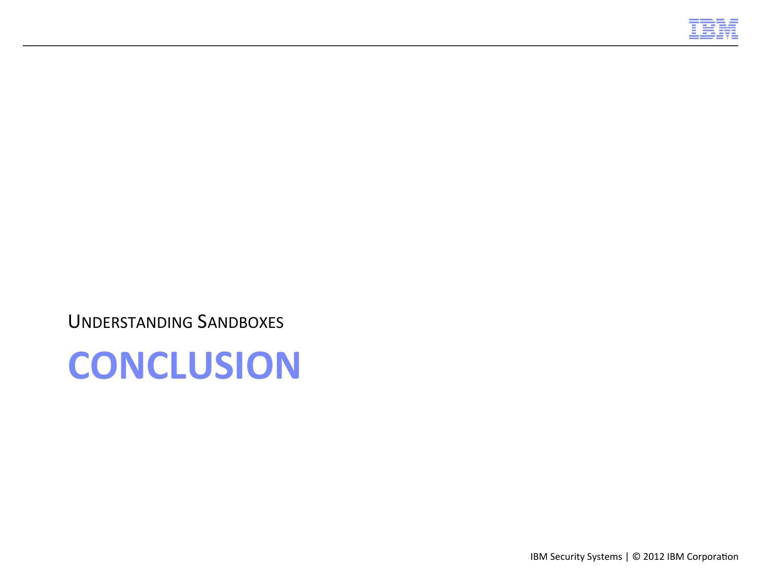

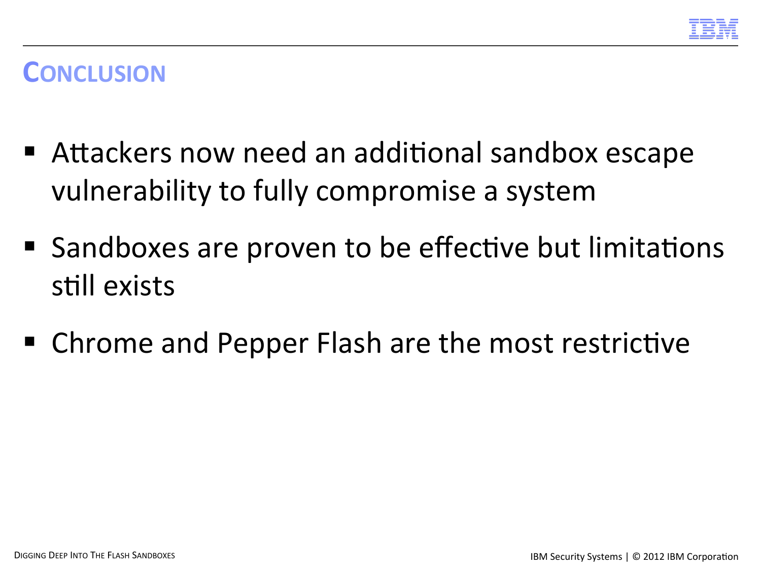

#### **CONCLUSION**

- Attackers now need an additional sandbox escape vulnerability to fully compromise a system
- Sandboxes are proven to be effective but limitations still exists
- Chrome and Pepper Flash are the most restrictive